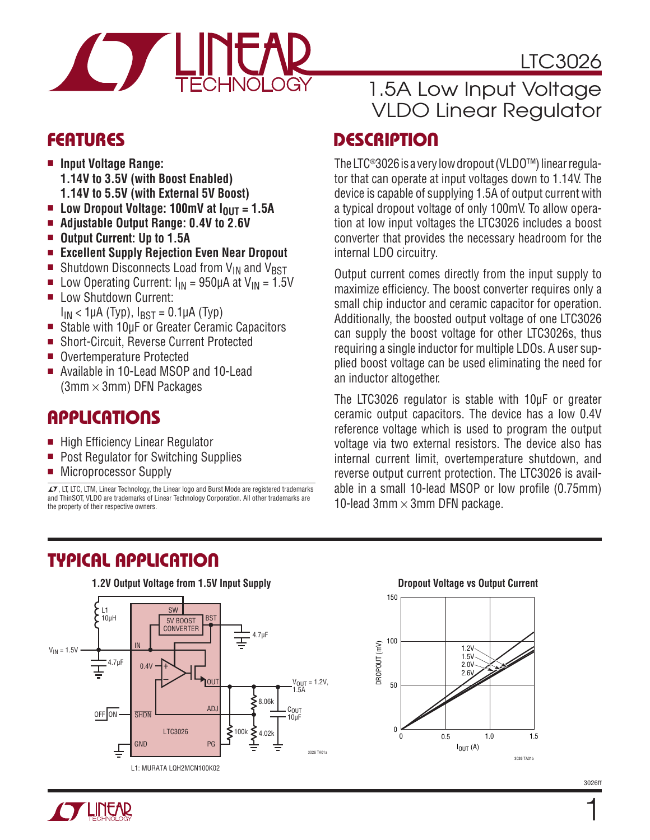

# **FEATURES**

- $\blacksquare$  Input Voltage Range: **1.14V to 3.5V (with Boost Enabled) 1.14V to 5.5V (with External 5V Boost)**
- Low Dropout Voltage: 100mV at I<sub>OUT</sub> = 1.5A
- Adjustable Output Range: 0.4V to 2.6V
- Output Current: Up to 1.5A
- <sup>n</sup> **Excellent Supply Rejection Even Near Dropout**
- **n** Shutdown Disconnects Load from  $V_{IN}$  and  $V_{BST}$
- **n** Low Operating Current:  $I_{IN} = 950 \mu A$  at  $V_{IN} = 1.5V$
- **E** Low Shutdown Current:  $I_{IN}$  < 1µA (Typ),  $I_{BST}$  = 0.1µA (Typ)
- Stable with 10µF or Greater Ceramic Capacitors
- Short-Circuit, Reverse Current Protected
- Overtemperature Protected
- Available in 10-Lead MSOP and 10-Lead  $(3mm \times 3mm)$  DFN Packages

## **APPLICATIONS**

- High Efficiency Linear Regulator
- **Post Regulator for Switching Supplies**
- Microprocessor Supply

 $\sqrt{J}$ , LT, LTC, LTM, Linear Technology, the Linear logo and Burst Mode are registered trademarks and ThinSOT, VLDO are trademarks of Linear Technology Corporation. All other trademarks are the property of their respective owners.

# 1.5A Low Input Voltage VLDO Linear Regulator

LTC3026

## **DESCRIPTION**

The LTC®3026 is a very low dropout (VLDO™) linear regulator that can operate at input voltages down to 1.14V. The device is capable of supplying 1.5A of output current with a typical dropout voltage of only 100mV. To allow operation at low input voltages the LTC3026 includes a boost converter that provides the necessary headroom for the internal LDO circuitry.

Output current comes directly from the input supply to maximize efficiency. The boost converter requires only a small chip inductor and ceramic capacitor for operation. Additionally, the boosted output voltage of one LTC3026 can supply the boost voltage for other LTC3026s, thus requiring a single inductor for multiple LDOs. A user supplied boost voltage can be used eliminating the need for an inductor altogether.

The LTC3026 regulator is stable with 10µF or greater ceramic output capacitors. The device has a low 0.4V reference voltage which is used to program the output voltage via two external resistors. The device also has internal current limit, overtemperature shutdown, and reverse output current protection. The LTC3026 is available in a small 10-lead MSOP or low profile (0.75mm) 10-lead 3mm  $\times$  3mm DFN package.



# Typical Application



3026ff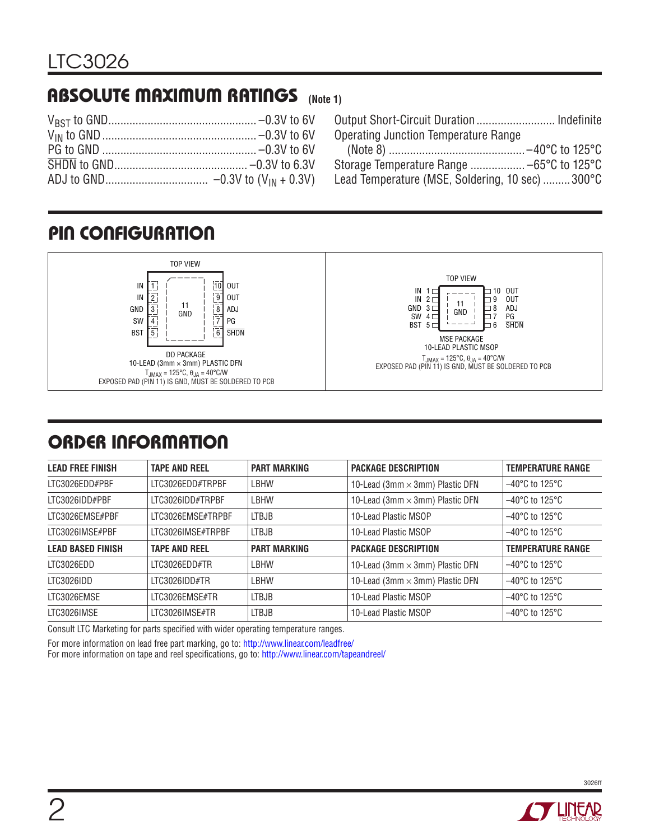# Absolute Maximum Ratings **(Note 1)**

| Output Short-Circuit Duration Indefinite        |  |
|-------------------------------------------------|--|
| <b>Operating Junction Temperature Range</b>     |  |
|                                                 |  |
|                                                 |  |
| Lead Temperature (MSE, Soldering, 10 sec) 300°C |  |

# Pin Configuration



# ORDER INFORMATION

| <b>LEAD FREE FINISH</b>  | <b>TAPE AND REEL</b> | <b>PART MARKING</b> | <b>PACKAGE DESCRIPTION</b>             | <b>TEMPERATURE RANGE</b>            |
|--------------------------|----------------------|---------------------|----------------------------------------|-------------------------------------|
| LTC3026EDD#PBF           | LTC3026EDD#TRPBF     | LBHW                | 10-Lead (3mm $\times$ 3mm) Plastic DFN | $-40^{\circ}$ C to 125 $^{\circ}$ C |
| ITC3026IDD#PBF           | LTC3026IDD#TRPBF     | <b>LBHW</b>         | 10-Lead (3mm $\times$ 3mm) Plastic DFN | $-40^{\circ}$ C to 125 $^{\circ}$ C |
| LTC3026EMSE#PBF          | LTC3026EMSE#TRPBF    | <b>LTBJB</b>        | 10-Lead Plastic MSOP                   | $-40^{\circ}$ C to 125 $^{\circ}$ C |
| LTC3026IMSE#PBF          | LTC3026IMSE#TRPBF    | <b>LTBJB</b>        | 10-Lead Plastic MSOP                   | $-40^{\circ}$ C to 125 $^{\circ}$ C |
| <b>LEAD BASED FINISH</b> | <b>TAPE AND REEL</b> | <b>PART MARKING</b> | <b>PACKAGE DESCRIPTION</b>             | <b>TEMPERATURE RANGE</b>            |
| LTC3026EDD               | LTC3026EDD#TR        | <b>LBHW</b>         | 10-Lead (3mm $\times$ 3mm) Plastic DFN | $-40^{\circ}$ C to 125 $^{\circ}$ C |
| LTC3026IDD               | LTC3026IDD#TR        | LBHW                | 10-Lead (3mm $\times$ 3mm) Plastic DFN | $-40^{\circ}$ C to 125 $^{\circ}$ C |
| LTC3026EMSE              | LTC3026EMSE#TR       | LTBJB               | 10-Lead Plastic MSOP                   | $-40^{\circ}$ C to 125 $^{\circ}$ C |
| LTC3026IMSE              | LTC3026IMSE#TR       | <b>LTBJB</b>        | 10-Lead Plastic MSOP                   | $-40^{\circ}$ C to 125 $^{\circ}$ C |

Consult LTC Marketing for parts specified with wider operating temperature ranges.

For more information on lead free part marking, go to: http://www.linear.com/leadfree/

For more information on tape and reel specifications, go to: http://www.linear.com/tapeandreel/

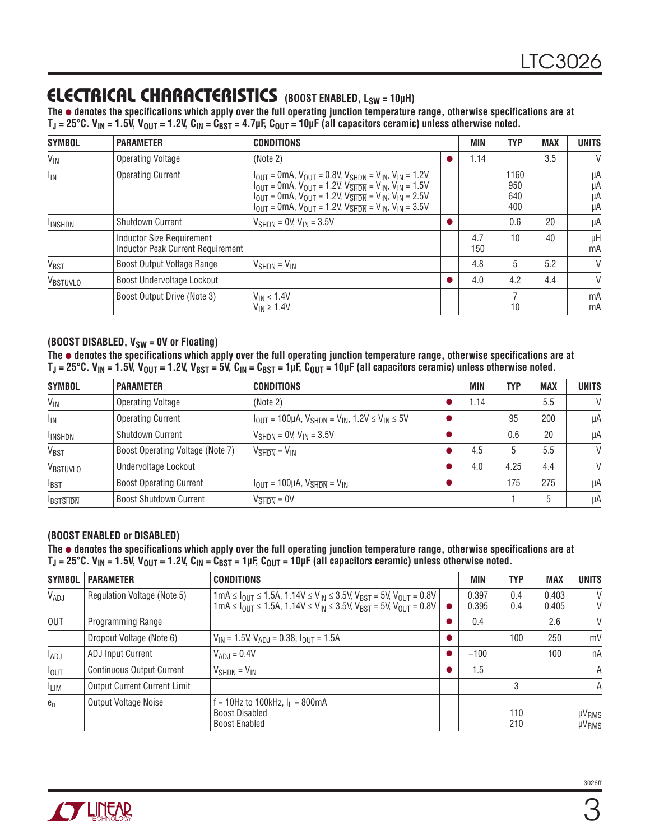### Electrical Characteristics **(BOOST ENABLED, LSW = 10µH)**

**The** l **denotes the specifications which apply over the full operating junction temperature range, otherwise specifications are at**  T<sub>J</sub> = 25°C. V<sub>IN</sub> = 1.5V, V<sub>OUT</sub> = 1.2V, C<sub>IN</sub> = C<sub>BST</sub> = 4.7µF, C<sub>OUT</sub> = 10µF (all capacitors ceramic) unless otherwise noted.

| <b>SYMBOL</b>    | <b>PARAMETER</b>                                                             | <b>CONDITIONS</b>                                                                                                                                                                                                                                                                                                                                                                                                                                                                                              | <b>MIN</b> | <b>TYP</b>                | <b>MAX</b> | <b>UNITS</b>         |
|------------------|------------------------------------------------------------------------------|----------------------------------------------------------------------------------------------------------------------------------------------------------------------------------------------------------------------------------------------------------------------------------------------------------------------------------------------------------------------------------------------------------------------------------------------------------------------------------------------------------------|------------|---------------------------|------------|----------------------|
| $V_{\text{IN}}$  | <b>Operating Voltage</b>                                                     | (Note 2)                                                                                                                                                                                                                                                                                                                                                                                                                                                                                                       | 1.14       |                           | 3.5        | V                    |
| $I_{IN}$         | <b>Operating Current</b>                                                     | $I_{\text{OUT}} = 0$ mA, $V_{\text{OUT}} = 0.8$ V, $V_{\overline{\text{SHDN}}} = V_{\text{IN}}$ , $V_{\text{IN}} = 1.2$ V<br>$I_{\text{OUT}} = 0$ mA, $V_{\text{OUT}} = 1.2V$ , $V_{\overline{\text{SHDN}}} = V_{\text{IN}}$ , $V_{\text{IN}} = 1.5V$<br>$I_{\text{OUT}} = 0$ mA, $V_{\text{OUT}} = 1.2V$ , $V_{\overline{\text{SHDN}}} = V_{\text{IN}}$ , $V_{\text{IN}} = 2.5V$<br>$I_{\text{OUT}} = 0$ mA, $V_{\text{OUT}} = 1.2$ V, $V_{\overline{\text{SHDN}}} = V_{\text{IN}}$ , $V_{\text{IN}} = 3.5$ V |            | 1160<br>950<br>640<br>400 |            | μA<br>μA<br>μA<br>μA |
| <b>INSHON</b>    | <b>Shutdown Current</b>                                                      | $V_{\overline{\text{SHDN}}}$ = 0V, $V_{\text{IN}}$ = 3.5V                                                                                                                                                                                                                                                                                                                                                                                                                                                      |            | 0.6                       | 20         | μA                   |
|                  | <b>Inductor Size Requirement</b><br><b>Inductor Peak Current Requirement</b> |                                                                                                                                                                                                                                                                                                                                                                                                                                                                                                                | 4.7<br>150 | 10                        | 40         | μH<br>mA             |
| V <sub>BST</sub> | Boost Output Voltage Range                                                   | $V_{\overline{\text{SHDN}}} = V_{\text{IN}}$                                                                                                                                                                                                                                                                                                                                                                                                                                                                   | 4.8        | 5                         | 5.2        | V                    |
| VBSTUVLO         | Boost Undervoltage Lockout                                                   |                                                                                                                                                                                                                                                                                                                                                                                                                                                                                                                | 4.0        | 4.2                       | 4.4        | V                    |
|                  | Boost Output Drive (Note 3)                                                  | $V_{IN}$ < 1.4V<br>$V_{IN} \ge 1.4V$                                                                                                                                                                                                                                                                                                                                                                                                                                                                           |            | 10                        |            | mA<br>mA             |

#### **(BOOST DISABLED, V<sub>SW</sub> = 0V or Floating)**

The  $\bullet$  denotes the specifications which apply over the full operating junction temperature range, otherwise specifications are at  $T_J = 25^{\circ}$ C. V<sub>IN</sub> = 1.5V, V<sub>OUT</sub> = 1.2V, V<sub>BST</sub> = 5V, C<sub>IN</sub> = C<sub>BST</sub> = 1µF, C<sub>OUT</sub> = 10µF (all capacitors ceramic) unless otherwise noted.

| <b>SYMBOL</b>    | <b>PARAMETER</b>                 | <b>CONDITIONS</b>                                                                                               | <b>MIN</b> | <b>TYP</b> | <b>MAX</b> | <b>UNITS</b> |
|------------------|----------------------------------|-----------------------------------------------------------------------------------------------------------------|------------|------------|------------|--------------|
| $V_{\text{IN}}$  | <b>Operating Voltage</b>         | (Note 2)                                                                                                        | 1.14       |            | 5.5        | $\vee$       |
| <sub>IN</sub>    | <b>Operating Current</b>         | $I_{\text{OUT}} = 100 \mu A$ , $V_{\overline{\text{SHDN}}} = V_{\text{IN}}$ , 1.2V $\leq V_{\text{IN}} \leq 5V$ |            | 95         | 200        | μA           |
| <b>INSHDN</b>    | <b>Shutdown Current</b>          | $V_{\overline{\text{SHDN}}}$ = 0V, $V_{\text{IN}}$ = 3.5V                                                       |            | 0.6        | 20         | μA           |
| V <sub>BST</sub> | Boost Operating Voltage (Note 7) | $V_{\overline{\text{SHDN}}} = V_{\text{IN}}$                                                                    | 4.5        | 5          | 5.5        | $\vee$       |
| VBSTUVLO         | Undervoltage Lockout             |                                                                                                                 | 4.0        | 4.25       | 4.4        | $\vee$       |
| $I_{\text{BST}}$ | <b>Boost Operating Current</b>   | $V_{\text{OUT}} = 100 \mu\text{A}$ , $V_{\overline{\text{SHDN}}} = V_{\text{IN}}$                               |            | 175        | 275        | μA           |
| <b>IBSTSHDN</b>  | <b>Boost Shutdown Current</b>    | $V_{\overline{SHDN}} = 0V$                                                                                      |            |            | 5          | μA           |

#### **(BOOST ENABLED or DISABLED)**

The  $\bullet$  denotes the specifications which apply over the full operating junction temperature range, otherwise specifications are at  $T_J$  = 25°C. V<sub>IN</sub> = 1.5V, V<sub>OUT</sub> = 1.2V, C<sub>IN</sub> = C<sub>BST</sub> = 1µF, C<sub>OUT</sub> = 10µF (all capacitors ceramic) unless otherwise noted.

| <b>SYMBOL</b> | <b>PARAMETER</b>                    | <b>CONDITIONS</b>                                                                                                                                                                                                                                                                                                                                   |           | <b>MIN</b>     | <b>TYP</b> | <b>MAX</b>     | <b>UNITS</b>                   |
|---------------|-------------------------------------|-----------------------------------------------------------------------------------------------------------------------------------------------------------------------------------------------------------------------------------------------------------------------------------------------------------------------------------------------------|-----------|----------------|------------|----------------|--------------------------------|
| VADJ          | Regulation Voltage (Note 5)         | $1 \text{mA} \leq I_{\text{OUT}} \leq 1.5 \text{A}$ , $1.14 \text{V} \leq V_{\text{IN}} \leq 3.5 \text{V}$ , $V_{\text{BST}} = 5 \text{V}$ , $V_{\text{OUT}} = 0.8 \text{V}$<br>$1 \text{mA} \leq I_{\text{OUT}} \leq 1.5 \text{A}, 1.14 \text{V} \leq V_{\text{IN}} \leq 3.5 \text{V}, V_{\text{BST}} = 5 \text{V}, V_{\text{OUT}} = 0.8 \text{V}$ | $\bullet$ | 0.397<br>0.395 | 0.4<br>0.4 | 0.403<br>0.405 | V<br>V                         |
| <b>OUT</b>    | <b>Programming Range</b>            |                                                                                                                                                                                                                                                                                                                                                     |           | 0.4            |            | 2.6            | V                              |
|               | Dropout Voltage (Note 6)            | $V_{IN}$ = 1.5V, $V_{ADJ}$ = 0.38, $I_{OUT}$ = 1.5A                                                                                                                                                                                                                                                                                                 |           |                | 100        | 250            | mV                             |
| $I_{ADJ}$     | <b>ADJ Input Current</b>            | $V_{ADJ} = 0.4V$                                                                                                                                                                                                                                                                                                                                    |           | $-100$         |            | 100            | nA                             |
| $I_{OUT}$     | <b>Continuous Output Current</b>    | $V_{\overline{\text{SHDN}}} = V_{\text{IN}}$                                                                                                                                                                                                                                                                                                        |           | 1.5            |            |                | A                              |
| <b>LIM</b>    | <b>Output Current Current Limit</b> |                                                                                                                                                                                                                                                                                                                                                     |           |                | 3          |                | A                              |
| $e_n$         | <b>Output Voltage Noise</b>         | $= 10$ Hz to 100kHz, $I_1 = 800$ mA<br><b>Boost Disabled</b><br><b>Boost Enabled</b>                                                                                                                                                                                                                                                                |           |                | 110<br>210 |                | $\mu V_{RMS}$<br>$\mu V_{RMS}$ |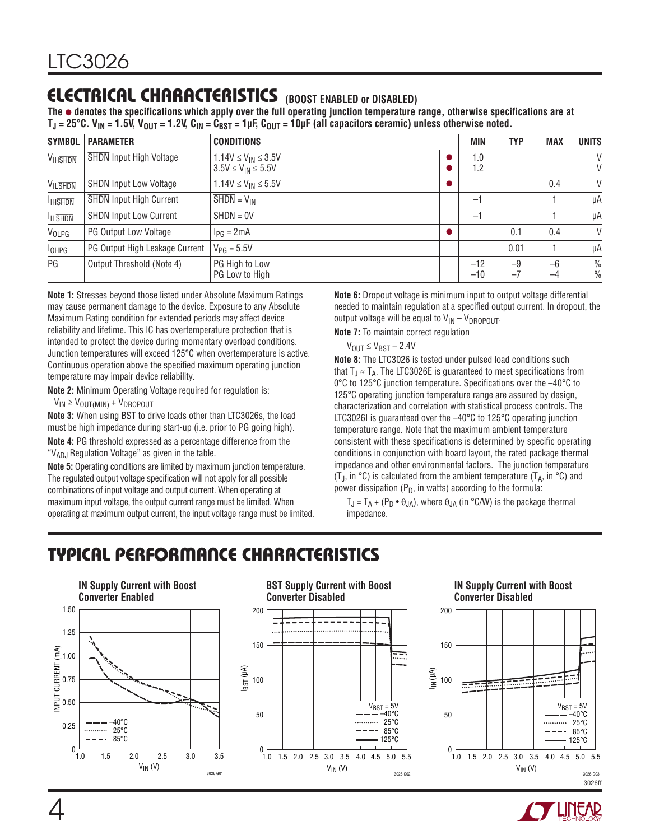# electrical characteristics **(BOOST ENABLED or DISABLED)**

**The** l **denotes the specifications which apply over the full operating junction temperature range, otherwise specifications are at TJ = 25°C. VIN = 1.5V, VOUT = 1.2V, CIN = CBST = 1µF, COUT = 10µF (all capacitors ceramic) unless otherwise noted.**

| <b>SYMBOL</b>  | <b>PARAMETER</b>               | <b>CONDITIONS</b>                                         |           | <b>MIN</b>     | <b>TYP</b>   | <b>MAX</b>   | <b>UNITS</b>                   |
|----------------|--------------------------------|-----------------------------------------------------------|-----------|----------------|--------------|--------------|--------------------------------|
| <b>VIHSHDN</b> | <b>SHDN</b> Input High Voltage | $1.14V \le V_{IN} \le 3.5V$<br>$3.5V \le V_{IN} \le 5.5V$ |           | 1.0<br>1.2     |              |              | V<br>V                         |
| <b>VILSHDN</b> | <b>SHDN</b> Input Low Voltage  | $1.14V \le V_{IN} \le 5.5V$                               | $\bullet$ |                |              | 0.4          | V                              |
| <b>IHSHDN</b>  | <b>SHDN</b> Input High Current | $\overline{\text{SHDN}} = \text{V}_{\text{IN}}$           |           | $-$            |              |              | μA                             |
| <b>ILSHDN</b>  | <b>SHDN Input Low Current</b>  | $\overline{SHDN} = 0V$                                    |           | $-$            |              |              | μA                             |
| VOLPG          | <b>PG Output Low Voltage</b>   | $I_{PG} = 2mA$                                            | $\bullet$ |                | 0.1          | 0.4          | V                              |
| $I_{OHPG}$     | PG Output High Leakage Current | $V_{PG} = 5.5V$                                           |           |                | 0.01         |              | μA                             |
| PG             | Output Threshold (Note 4)      | PG High to Low<br>PG Low to High                          |           | $-12$<br>$-10$ | $-9$<br>$-1$ | $-6$<br>$-4$ | $\frac{0}{0}$<br>$\frac{0}{0}$ |

**Note 1:** Stresses beyond those listed under Absolute Maximum Ratings may cause permanent damage to the device. Exposure to any Absolute Maximum Rating condition for extended periods may affect device reliability and lifetime. This IC has overtemperature protection that is intended to protect the device during momentary overload conditions. Junction temperatures will exceed 125°C when overtemperature is active. Continuous operation above the specified maximum operating junction temperature may impair device reliability.

**Note 2:** Minimum Operating Voltage required for regulation is:

 $V_{IN} \geq V_{OUT(MIN)} + V_{DROPOUT}$ 

**Note 3:** When using BST to drive loads other than LTC3026s, the load must be high impedance during start-up (i.e. prior to PG going high).

**Note 4:** PG threshold expressed as a percentage difference from the " $V_{AD,I}$  Regulation Voltage" as given in the table.

**Note 5:** Operating conditions are limited by maximum junction temperature. The regulated output voltage specification will not apply for all possible combinations of input voltage and output current. When operating at maximum input voltage, the output current range must be limited. When operating at maximum output current, the input voltage range must be limited. **Note 6:** Dropout voltage is minimum input to output voltage differential needed to maintain regulation at a specified output current. In dropout, the output voltage will be equal to  $V_{IN} - V_{DROPOUT}$ .

**Note 7:** To maintain correct regulation

 $V_{\text{OUT}} \leq V_{\text{BST}} - 2.4V$ 

**Note 8:** The LTC3026 is tested under pulsed load conditions such that  $T_J \approx T_A$ . The LTC3026E is guaranteed to meet specifications from 0°C to 125°C junction temperature. Specifications over the –40°C to 125°C operating junction temperature range are assured by design, characterization and correlation with statistical process controls. The LTC3026I is guaranteed over the -40°C to 125°C operating junction temperature range. Note that the maximum ambient temperature consistent with these specifications is determined by specific operating conditions in conjunction with board layout, the rated package thermal impedance and other environmental factors. The junction temperature (T<sub>J</sub>, in  $\degree$ C) is calculated from the ambient temperature (T<sub>A</sub>, in  $\degree$ C) and power dissipation ( $P_D$ , in watts) according to the formula:

 $T_J = T_A + (P_D \cdot \theta_{JA})$ , where  $\theta_{JA}$  (in °C/W) is the package thermal impedance.

# Typical Performance Characteristics



#### **BST Supply Current with Boost Converter Disabled**



#### **IN Supply Current with Boost Converter Disabled**



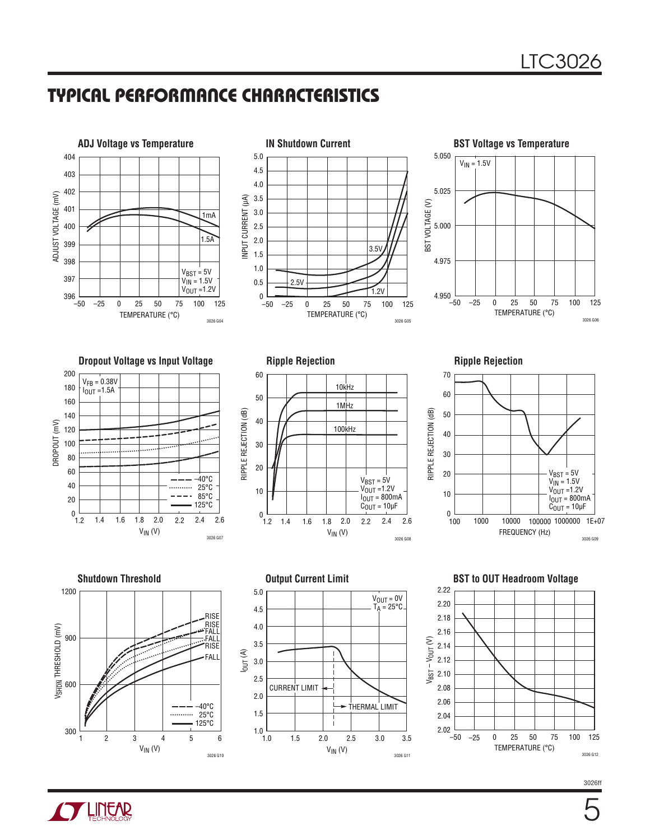## Typical Performance Characteristics

3026 G10

1.0

1.0

 $V_{IN}$  (V)

2 3 4 5 6



3026 G11

–50

2.02

 $V_{IN}$  (V)

1.5 2.0 2.5 3.0 3.5

3026ff 3026 G12

TEMPERATURE (°C)

–25 0 25 50 75 100 125



1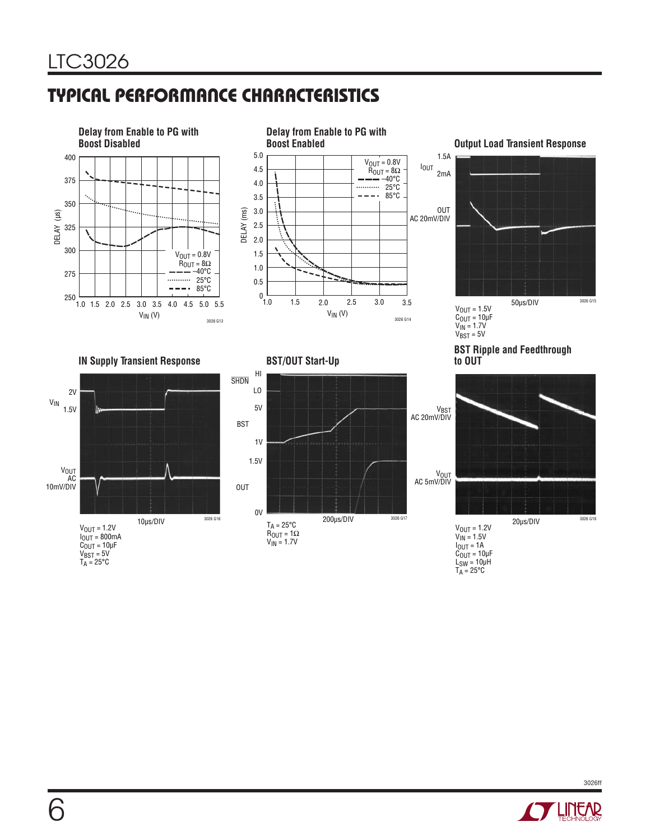# Typical Performance Characteristics





**Output Load Transient Response** 



**IN Supply Transient Response BST/OUT Start-Up**











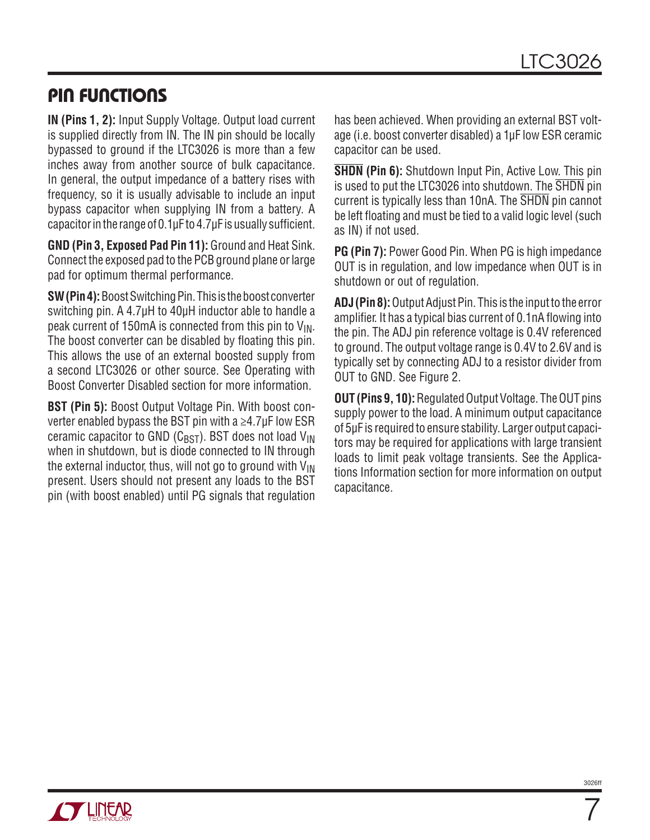## Pin Functions

**IN (Pins 1, 2):** Input Supply Voltage. Output load current is supplied directly from IN. The IN pin should be locally bypassed to ground if the LTC3026 is more than a few inches away from another source of bulk capacitance. In general, the output impedance of a battery rises with frequency, so it is usually advisable to include an input bypass capacitor when supplying IN from a battery. A capacitor in the range of 0.1µF to 4.7µF is usually sufficient.

**GND (Pin 3, Exposed Pad Pin 11):** Ground and Heat Sink. Connect the exposed pad to the PCB ground plane or large pad for optimum thermal performance.

**SW (Pin 4):** Boost Switching Pin. This is the boost converter switching pin. A 4.7µH to 40µH inductor able to handle a peak current of 150mA is connected from this pin to  $V_{\text{IN}}$ . The boost converter can be disabled by floating this pin. This allows the use of an external boosted supply from a second LTC3026 or other source. See Operating with Boost Converter Disabled section for more information.

**BST (Pin 5):** Boost Output Voltage Pin. With boost converter enabled bypass the BST pin with a ≥4.7µF low ESR ceramic capacitor to GND ( $C_{\text{RST}}$ ). BST does not load  $V_{\text{IN}}$ when in shutdown, but is diode connected to IN through the external inductor, thus, will not go to ground with  $V_{IN}$ present. Users should not present any loads to the BST pin (with boost enabled) until PG signals that regulation has been achieved. When providing an external BST voltage (i.e. boost converter disabled) a 1µF low ESR ceramic capacitor can be used.

**SHDN (Pin 6):** Shutdown Input Pin, Active Low. This pin is used to put the LTC3026 into shutdown. The SHDN pin current is typically less than 10nA. The SHDN pin cannot be left floating and must be tied to a valid logic level (such as IN) if not used.

**PG (Pin 7):** Power Good Pin. When PG is high impedance OUT is in regulation, and low impedance when OUT is in shutdown or out of regulation.

**ADJ (Pin 8):** Output Adjust Pin. This is the input to the error amplifier. It has a typical bias current of 0.1nA flowing into the pin. The ADJ pin reference voltage is 0.4V referenced to ground. The output voltage range is 0.4V to 2.6V and is typically set by connecting ADJ to a resistor divider from OUT to GND. See Figure 2.

**OUT (Pins 9, 10):** Regulated Output Voltage. The OUT pins supply power to the load. A minimum output capacitance of 5µF is required to ensure stability. Larger output capacitors may be required for applications with large transient loads to limit peak voltage transients. See the Applications Information section for more information on output capacitance.

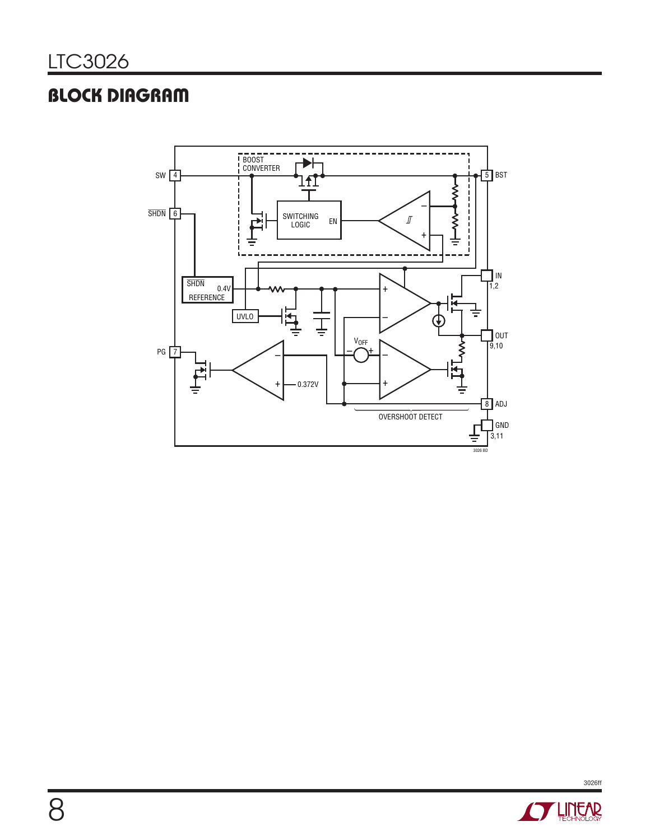# **BLOCK DIAGRAM**



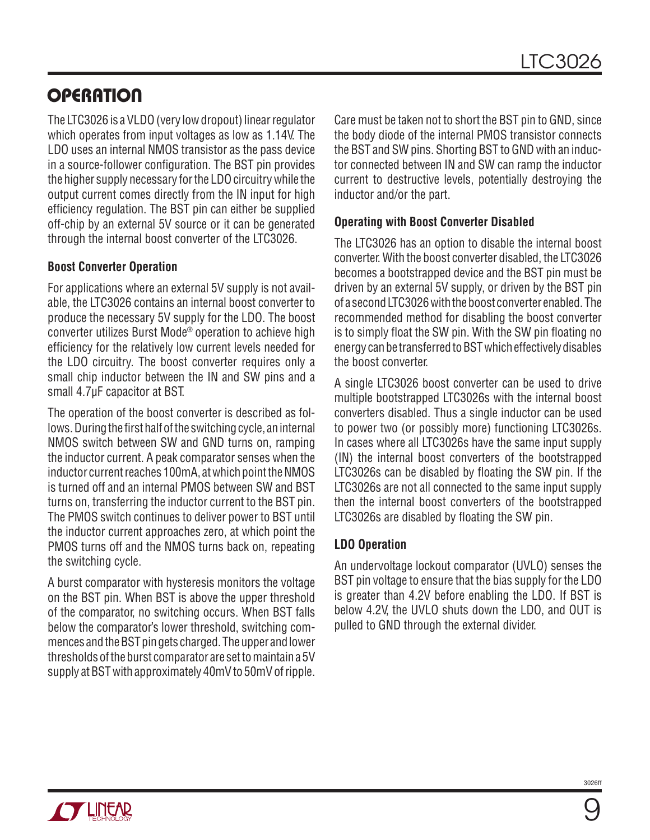The LTC3026 is a VLDO (very low dropout) linear regulator which operates from input voltages as low as 1.14V. The LDO uses an internal NMOS transistor as the pass device in a source-follower configuration. The BST pin provides the higher supply necessary for the LDO circuitry while the output current comes directly from the IN input for high efficiency regulation. The BST pin can either be supplied off-chip by an external 5V source or it can be generated through the internal boost converter of the LTC3026.

### **Boost Converter Operation**

For applications where an external 5V supply is not available, the LTC3026 contains an internal boost converter to produce the necessary 5V supply for the LDO. The boost converter utilizes Burst Mode® operation to achieve high efficiency for the relatively low current levels needed for the LDO circuitry. The boost converter requires only a small chip inductor between the IN and SW pins and a small 4.7µF capacitor at BST.

The operation of the boost converter is described as follows. During the first half of the switching cycle, an internal NMOS switch between SW and GND turns on, ramping the inductor current. A peak comparator senses when the inductor current reaches 100mA, at which point the NMOS is turned off and an internal PMOS between SW and BST turns on, transferring the inductor current to the BST pin. The PMOS switch continues to deliver power to BST until the inductor current approaches zero, at which point the PMOS turns off and the NMOS turns back on, repeating the switching cycle.

A burst comparator with hysteresis monitors the voltage on the BST pin. When BST is above the upper threshold of the comparator, no switching occurs. When BST falls below the comparator's lower threshold, switching commences and the BST pin gets charged. The upper and lower thresholds of the burst comparator are set to maintain a 5V supply at BST with approximately 40mV to 50mV of ripple.

Care must be taken not to short the BST pin to GND, since the body diode of the internal PMOS transistor connects the BST and SW pins. Shorting BST to GND with an inductor connected between IN and SW can ramp the inductor current to destructive levels, potentially destroying the inductor and/or the part.

### **Operating with Boost Converter Disabled**

The LTC3026 has an option to disable the internal boost converter. With the boost converter disabled, the LTC3026 becomes a bootstrapped device and the BST pin must be driven by an external 5V supply, or driven by the BST pin of a second LTC3026 with the boost converter enabled. The recommended method for disabling the boost converter is to simply float the SW pin. With the SW pin floating no energy can be transferred to BST which effectively disables the boost converter.

A single LTC3026 boost converter can be used to drive multiple bootstrapped LTC3026s with the internal boost converters disabled. Thus a single inductor can be used to power two (or possibly more) functioning LTC3026s. In cases where all LTC3026s have the same input supply (IN) the internal boost converters of the bootstrapped LTC3026s can be disabled by floating the SW pin. If the LTC3026s are not all connected to the same input supply then the internal boost converters of the bootstrapped LTC3026s are disabled by floating the SW pin.

#### **LDO Operation**

An undervoltage lockout comparator (UVLO) senses the BST pin voltage to ensure that the bias supply for the LDO is greater than 4.2V before enabling the LDO. If BST is below 4.2V, the UVLO shuts down the LDO, and OUT is pulled to GND through the external divider.

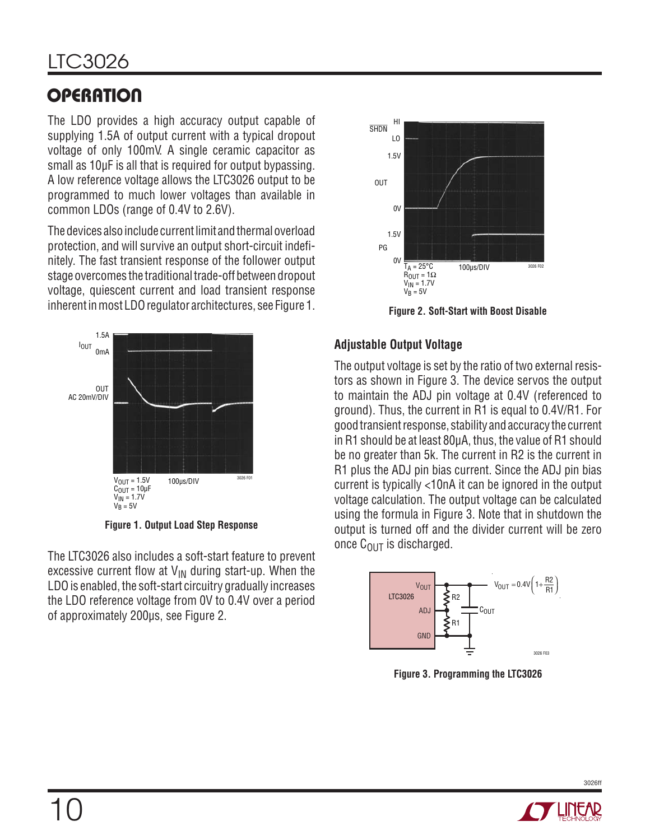# LTC3026

# **OPERATION**

The LDO provides a high accuracy output capable of supplying 1.5A of output current with a typical dropout voltage of only 100mV. A single ceramic capacitor as small as 10µF is all that is required for output bypassing. A low reference voltage allows the LTC3026 output to be programmed to much lower voltages than available in common LDOs (range of 0.4V to 2.6V).

The devices also include current limit and thermal overload protection, and will survive an output short-circuit indefinitely. The fast transient response of the follower output stage overcomes the traditional trade-off between dropout voltage, quiescent current and load transient response inherent in most LDO regulator architectures, see Figure 1. **Figure 2. Soft-Start with Boost Disable**



**Figure 1. Output Load Step Response**

The LTC3026 also includes a soft-start feature to prevent excessive current flow at  $V_{IN}$  during start-up. When the LDO is enabled, the soft-start circuitry gradually increases the LDO reference voltage from 0V to 0.4V over a period of approximately 200µs, see Figure 2.



### **Adjustable Output Voltage**

The output voltage is set by the ratio of two external resistors as shown in Figure 3. The device servos the output to maintain the ADJ pin voltage at 0.4V (referenced to ground). Thus, the current in R1 is equal to 0.4V/R1. For good transient response, stability and accuracy the current in R1 should be at least 80µA, thus, the value of R1 should be no greater than 5k. The current in R2 is the current in R1 plus the ADJ pin bias current. Since the ADJ pin bias current is typically <10nA it can be ignored in the output voltage calculation. The output voltage can be calculated using the formula in Figure 3. Note that in shutdown the output is turned off and the divider current will be zero once  $C_{\text{OUT}}$  is discharged.



**Figure 3. Programming the LTC3026**

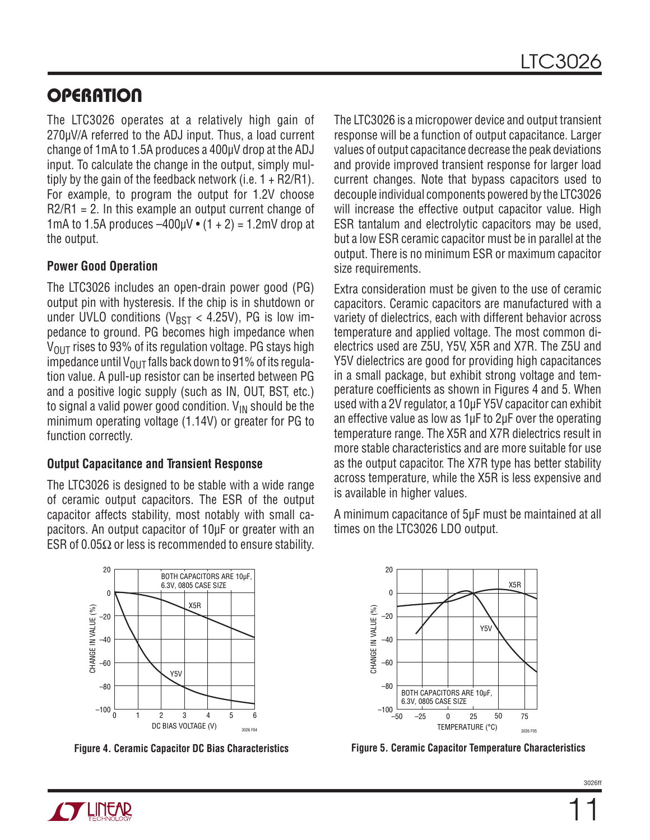The LTC3026 operates at a relatively high gain of 270µV/A referred to the ADJ input. Thus, a load current change of 1mA to 1.5A produces a 400µV drop at the ADJ input. To calculate the change in the output, simply multiply by the gain of the feedback network (i.e.  $1 + R2/R1$ ). For example, to program the output for 1.2V choose  $R2/R1 = 2$ . In this example an output current change of 1mA to 1.5A produces  $-400 \mu$ V  $\bullet$  (1  $+$  2) = 1.2mV drop at the output.

### **Power Good Operation**

The LTC3026 includes an open-drain power good (PG) output pin with hysteresis. If the chip is in shutdown or under UVLO conditions ( $V_{\text{BST}}$  < 4.25V), PG is low impedance to ground. PG becomes high impedance when  $V_{\text{OUT}}$  rises to 93% of its regulation voltage. PG stays high impedance until  $V_{OUT}$  falls back down to 91% of its regulation value. A pull-up resistor can be inserted between PG and a positive logic supply (such as IN, OUT, BST, etc.) to signal a valid power good condition.  $V_{IN}$  should be the minimum operating voltage (1.14V) or greater for PG to function correctly.

#### **Output Capacitance and Transient Response**

The LTC3026 is designed to be stable with a wide range of ceramic output capacitors. The ESR of the output capacitor affects stability, most notably with small capacitors. An output capacitor of 10µF or greater with an ESR of 0.05 $\Omega$  or less is recommended to ensure stability.

X5R

6.3V, 0805 CASE SIZE

The LTC3026 is a micropower device and output transient response will be a function of output capacitance. Larger values of output capacitance decrease the peak deviations and provide improved transient response for larger load current changes. Note that bypass capacitors used to decouple individual components powered by the LTC3026 will increase the effective output capacitor value. High ESR tantalum and electrolytic capacitors may be used, but a low ESR ceramic capacitor must be in parallel at the output. There is no minimum ESR or maximum capacitor size requirements.

Extra consideration must be given to the use of ceramic capacitors. Ceramic capacitors are manufactured with a variety of dielectrics, each with different behavior across temperature and applied voltage. The most common dielectrics used are Z5U, Y5V, X5R and X7R. The Z5U and Y5V dielectrics are good for providing high capacitances in a small package, but exhibit strong voltage and temperature coefficients as shown in Figures 4 and 5. When used with a 2V regulator, a 10µF Y5V capacitor can exhibit an effective value as low as 1µF to 2µF over the operating temperature range. The X5R and X7R dielectrics result in more stable characteristics and are more suitable for use as the output capacitor. The X7R type has better stability across temperature, while the X5R is less expensive and is available in higher values.

A minimum capacitance of 5µF must be maintained at all times on the LTC3026 LDO output.



DC BIAS VOLTAGE (V)

Y5V



**Figure 4. Ceramic Capacitor DC Bias Characteristics Figure 5. Ceramic Capacitor Temperature Characteristics**

CHANGE IN VALUE (%)

CHANGE IN VALUE (%

 $20$ 

0

–20

–40

–60

–80

 $-100\frac{L}{0}$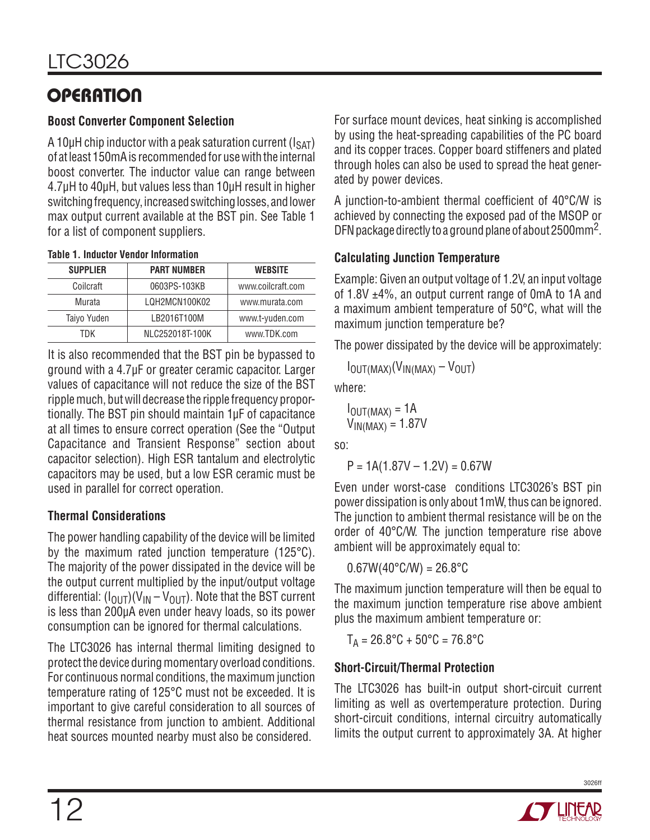### **Boost Converter Component Selection**

A 10 $\mu$ H chip inductor with a peak saturation current ( $I_{\text{SAT}}$ ) of at least 150mA is recommended for use with the internal boost converter. The inductor value can range between 4.7µH to 40µH, but values less than 10µH result in higher switching frequency, increased switching losses, and lower max output current available at the BST pin. See Table 1 for a list of component suppliers.

| <b>SUPPLIER</b> | <b>PART NUMBER</b>                | <b>WEBSITE</b>  |
|-----------------|-----------------------------------|-----------------|
| Coilcraft       | 0603PS-103KB<br>www.coilcraft.com |                 |
| Murata          | LQH2MCN100K02                     | www.murata.com  |
| Taiyo Yuden     | LB2016T100M                       | www.t-yuden.com |
| TDK             | NLC252018T-100K                   | www.TDK.com     |

|  | <b>Table 1. Inductor Vendor Information</b> |
|--|---------------------------------------------|
|  |                                             |

It is also recommended that the BST pin be bypassed to ground with a 4.7µF or greater ceramic capacitor. Larger values of capacitance will not reduce the size of the BST ripple much, but will decrease the ripple frequency proportionally. The BST pin should maintain 1µF of capacitance at all times to ensure correct operation (See the "Output Capacitance and Transient Response" section about capacitor selection). High ESR tantalum and electrolytic capacitors may be used, but a low ESR ceramic must be used in parallel for correct operation.

### **Thermal Considerations**

The power handling capability of the device will be limited by the maximum rated junction temperature (125°C). The majority of the power dissipated in the device will be the output current multiplied by the input/output voltage differential:  $(I_{\text{OUT}})(V_{\text{IN}} - V_{\text{OUT}})$ . Note that the BST current is less than 200µA even under heavy loads, so its power consumption can be ignored for thermal calculations.

The LTC3026 has internal thermal limiting designed to protect the device during momentary overload conditions. For continuous normal conditions, the maximum junction temperature rating of 125°C must not be exceeded. It is important to give careful consideration to all sources of thermal resistance from junction to ambient. Additional heat sources mounted nearby must also be considered.

For surface mount devices, heat sinking is accomplished by using the heat-spreading capabilities of the PC board and its copper traces. Copper board stiffeners and plated through holes can also be used to spread the heat generated by power devices.

A junction-to-ambient thermal coefficient of 40°C/W is achieved by connecting the exposed pad of the MSOP or DFN package directly to a ground plane of about 2500mm2.

### **Calculating Junction Temperature**

Example: Given an output voltage of 1.2V, an input voltage of 1.8V ±4%, an output current range of 0mA to 1A and a maximum ambient temperature of 50°C, what will the maximum junction temperature be?

The power dissipated by the device will be approximately:

 $I_{\text{OUT}(MAX)}(V_{\text{IN}(MAX)} - V_{\text{OUT}})$ 

where:

$$
I_{OUT(MAX)} = 1A
$$
  

$$
V_{IN(MAX)} = 1.87V
$$

so:

 $P = 1A(1.87V - 1.2V) = 0.67W$ 

Even under worst-case conditions LTC3026's BST pin power dissipation is only about 1mW, thus can be ignored. The junction to ambient thermal resistance will be on the order of 40°C/W. The junction temperature rise above ambient will be approximately equal to:

 $0.67W(40^{\circ}$ C/W) = 26.8 $^{\circ}$ C

The maximum junction temperature will then be equal to the maximum junction temperature rise above ambient plus the maximum ambient temperature or:

 $T_A = 26.8$ °C + 50°C = 76.8°C

### **Short-Circuit/Thermal Protection**

The LTC3026 has built-in output short-circuit current limiting as well as overtemperature protection. During short-circuit conditions, internal circuitry automatically limits the output current to approximately 3A. At higher



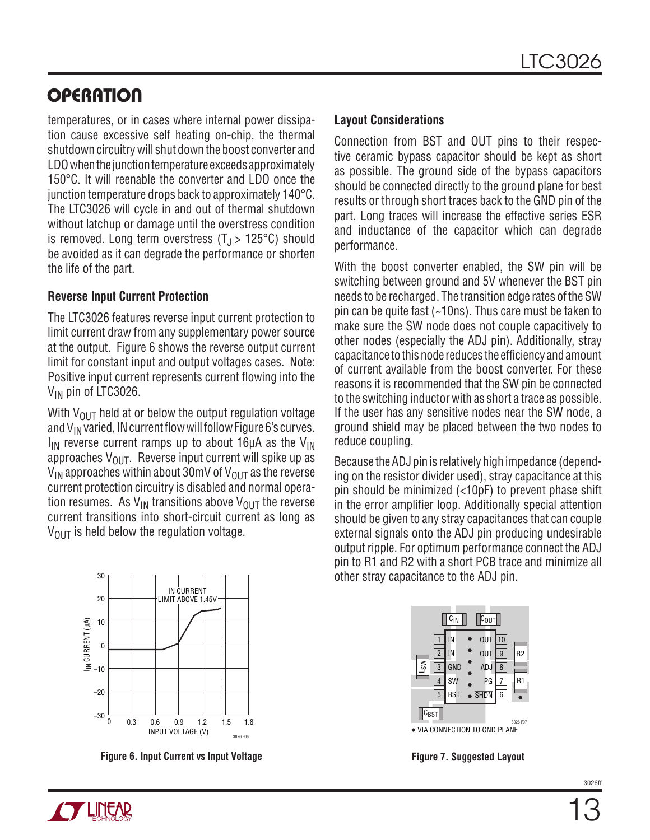temperatures, or in cases where internal power dissipation cause excessive self heating on-chip, the thermal shutdown circuitry will shut down the boost converter and LDO when the junction temperature exceeds approximately 150°C. It will reenable the converter and LDO once the junction temperature drops back to approximately 140°C. The LTC3026 will cycle in and out of thermal shutdown without latchup or damage until the overstress condition is removed. Long term overstress  $(T_{\rm J} > 125^{\circ} \text{C})$  should be avoided as it can degrade the performance or shorten the life of the part.

#### **Reverse Input Current Protection**

The LTC3026 features reverse input current protection to limit current draw from any supplementary power source at the output. Figure 6 shows the reverse output current limit for constant input and output voltages cases. Note: Positive input current represents current flowing into the V<sub>IN</sub> pin of LTC3026.

With  $V_{OUT}$  held at or below the output regulation voltage and  $V_{IN}$  varied, IN current flow will follow Figure 6's curves.  $I_{IN}$  reverse current ramps up to about 16 $\mu$ A as the V<sub>IN</sub> approaches  $V_{\text{OUT}}$ . Reverse input current will spike up as  $V_{IN}$  approaches within about 30mV of  $V_{OUT}$  as the reverse current protection circuitry is disabled and normal operation resumes. As  $V_{IN}$  transitions above  $V_{OIII}$  the reverse current transitions into short-circuit current as long as  $V_{\text{OUT}}$  is held below the regulation voltage.



**Figure 6. Input Current vs Input Voltage Figure 7. Suggested Layout**

#### **Layout Considerations**

Connection from BST and OUT pins to their respective ceramic bypass capacitor should be kept as short as possible. The ground side of the bypass capacitors should be connected directly to the ground plane for best results or through short traces back to the GND pin of the part. Long traces will increase the effective series ESR and inductance of the capacitor which can degrade performance.

With the boost converter enabled, the SW pin will be switching between ground and 5V whenever the BST pin needs to be recharged. The transition edge rates of the SW pin can be quite fast (~10ns). Thus care must be taken to make sure the SW node does not couple capacitively to other nodes (especially the ADJ pin). Additionally, stray capacitance to this node reduces the efficiency and amount of current available from the boost converter. For these reasons it is recommended that the SW pin be connected to the switching inductor with as short a trace as possible. If the user has any sensitive nodes near the SW node, a ground shield may be placed between the two nodes to reduce coupling.

Because the ADJ pin is relatively high impedance (depending on the resistor divider used), stray capacitance at this pin should be minimized (<10pF) to prevent phase shift in the error amplifier loop. Additionally special attention should be given to any stray capacitances that can couple external signals onto the ADJ pin producing undesirable output ripple. For optimum performance connect the ADJ pin to R1 and R2 with a short PCB trace and minimize all other stray capacitance to the ADJ pin.

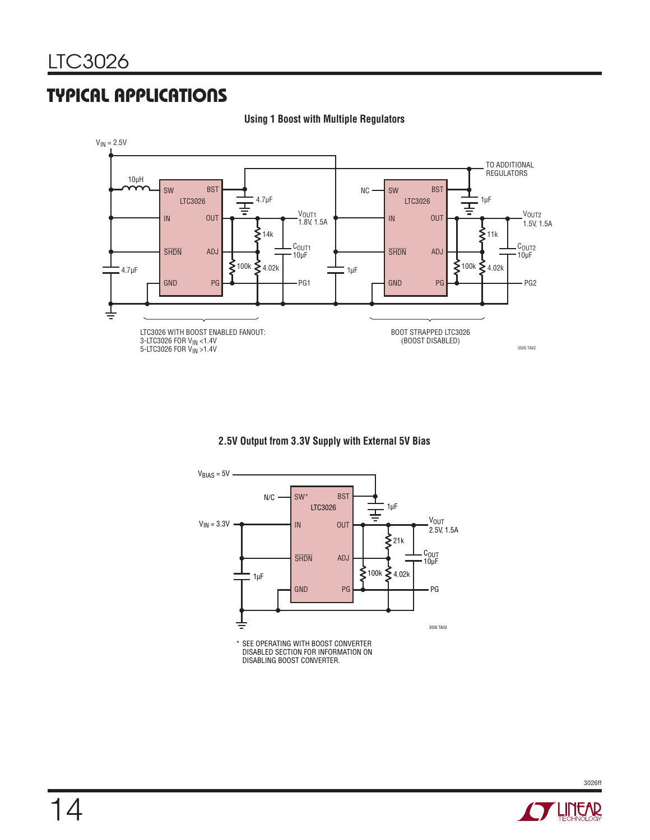## Typical Applications

#### $V_{IN} = 2.5V$ TO ADDITIONAL REGULATORS 10µH **BST BST** SW  $NC \longrightarrow SW$ 4.7µF 1µF LTC3026 LTC3026 끟 ┬ V<sub>OUT1</sub><br>1.8V, 1.5A V<sub>OUT2</sub> IN **OUT** IN **OUT** 1.5V, 1.5A  $\zeta$ <sub>11k</sub>  $\sum$ 14k C<sub>OUT1</sub> C<sub>OUT2</sub><br>10µF **SHDN** ADJ **SHDN** ADJ 10µF  $$4.02k$  $\lessgtr$ 100k  $\leq 4.02k$ **E**100k 4.7µF 1µF GND PG GND PG PG1 |  $\rightarrow$  GND PG  $\rightarrow$  PG2 ŧ BOOT STRAPPED LTC3026 LTC3026 WITH BOOST ENABLED FANOUT: (BOOST DISABLED) 3-LTC3026 FOR VIN <1.4V 3026 TA02 5-LTC3026 FOR VIN >1.4V

#### **Using 1 Boost with Multiple Regulators**

#### **2.5V Output from 3.3V Supply with External 5V Bias**



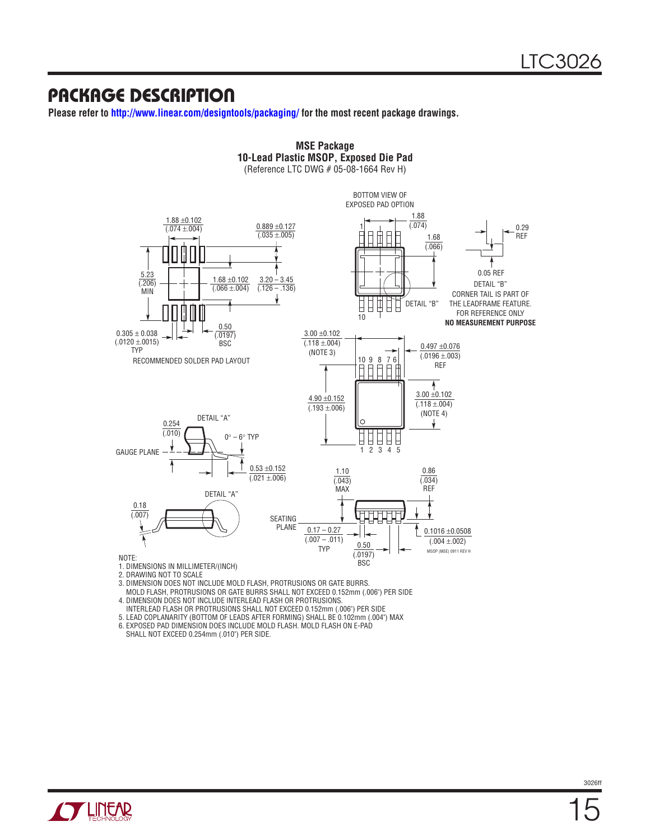### Package Description

**Please refer to http://www.linear.com/designtools/packaging/ for the most recent package drawings.**



- 3. DIMENSION DOES NOT INCLUDE MOLD FLASH, PROTRUSIONS OR GATE BURRS.
- MOLD FLASH, PROTRUSIONS OR GATE BURRS SHALL NOT EXCEED 0.152mm (.006") PER SIDE
- 4. DIMENSION DOES NOT INCLUDE INTERLEAD FLASH OR PROTRUSIONS. INTERLEAD FLASH OR PROTRUSIONS SHALL NOT EXCEED 0.152mm (.006") PER SIDE
- 5. LEAD COPLANARITY (BOTTOM OF LEADS AFTER FORMING) SHALL BE 0.102mm (.004") MAX

6. EXPOSED PAD DIMENSION DOES INCLUDE MOLD FLASH. MOLD FLASH ON E-PAD SHALL NOT EXCEED 0.254mm (.010") PER SIDE.

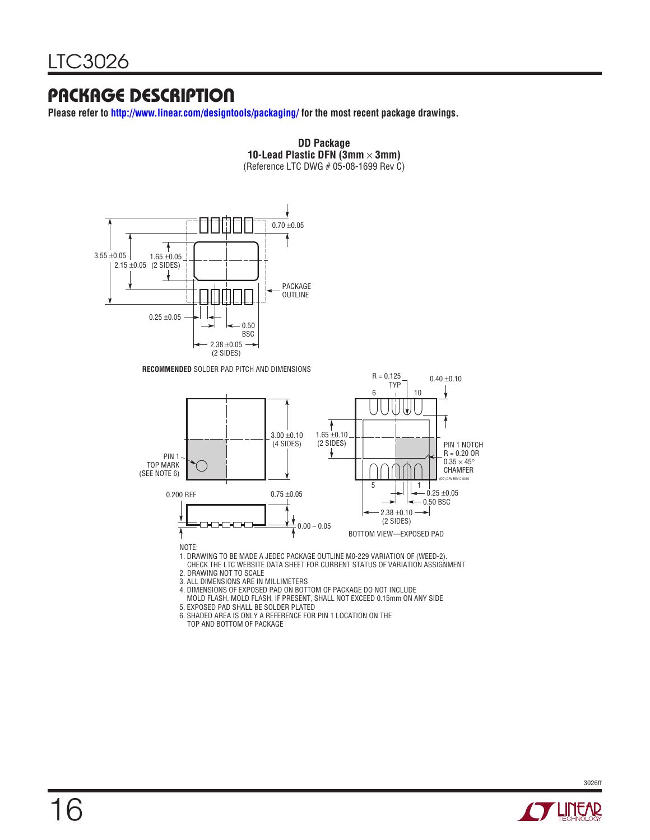## Package Description

**Please refer to http://www.linear.com/designtools/packaging/ for the most recent package drawings.**



5. EXPOSED PAD SHALL BE SOLDER PLATED 6. SHADED AREA IS ONLY A REFERENCE FOR PIN 1 LOCATION ON THE TOP AND BOTTOM OF PACKAGE

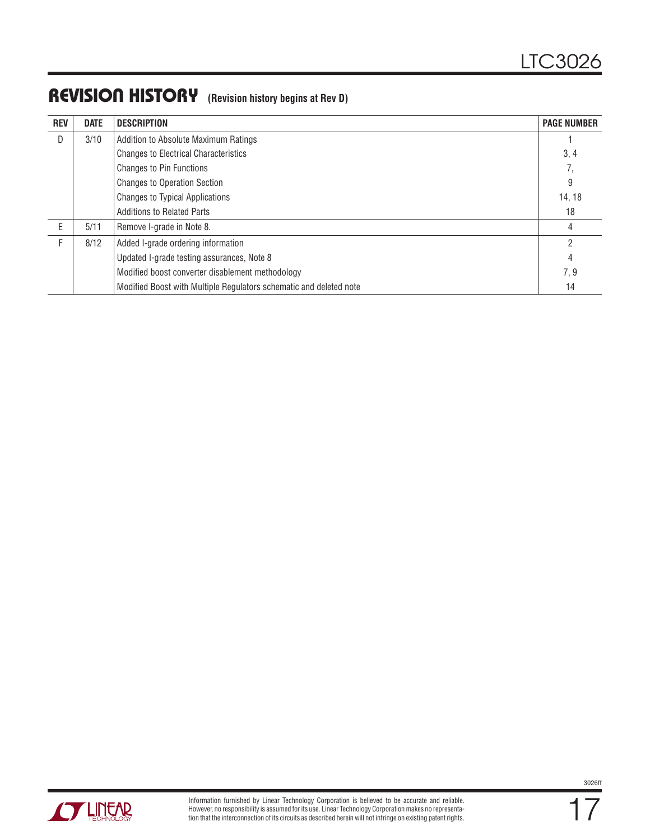## REVISION HISTORY (Revision history begins at Rev D)

| <b>REV</b> | <b>DATE</b> | <b>DESCRIPTION</b>                                                 | <b>PAGE NUMBER</b> |
|------------|-------------|--------------------------------------------------------------------|--------------------|
| D          | 3/10        | Addition to Absolute Maximum Ratings                               |                    |
|            |             | <b>Changes to Electrical Characteristics</b>                       | 3, 4               |
|            |             | <b>Changes to Pin Functions</b>                                    | 7,                 |
|            |             | <b>Changes to Operation Section</b>                                | 9                  |
|            |             | <b>Changes to Typical Applications</b>                             | 14, 18             |
|            |             | <b>Additions to Related Parts</b>                                  | 18                 |
| F          | 5/11        | Remove I-grade in Note 8.                                          | 4                  |
|            | 8/12        | Added I-grade ordering information                                 | 2                  |
|            |             | Updated I-grade testing assurances, Note 8                         | 4                  |
|            |             | Modified boost converter disablement methodology                   | 7,9                |
|            |             | Modified Boost with Multiple Regulators schematic and deleted note | 14                 |